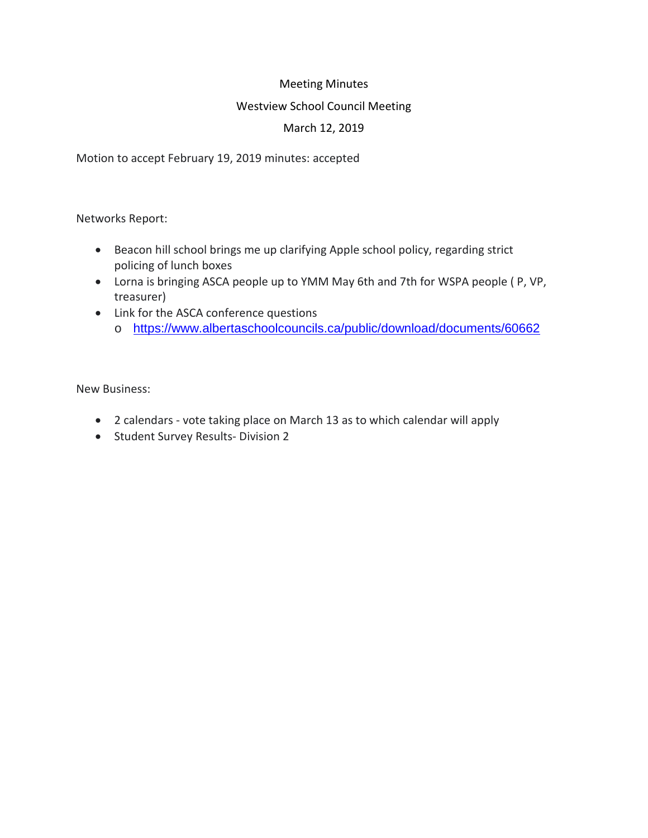### Meeting Minutes

#### Westview School Council Meeting

# March 12, 2019

Motion to accept February 19, 2019 minutes: accepted

Networks Report:

- Beacon hill school brings me up clarifying Apple school policy, regarding strict policing of lunch boxes
- Lorna is bringing ASCA people up to YMM May 6th and 7th for WSPA people ( P, VP, treasurer)
- Link for the ASCA conference questions
	- o <https://www.albertaschoolcouncils.ca/public/download/documents/60662>

New Business:

- 2 calendars vote taking place on March 13 as to which calendar will apply
- Student Survey Results- Division 2